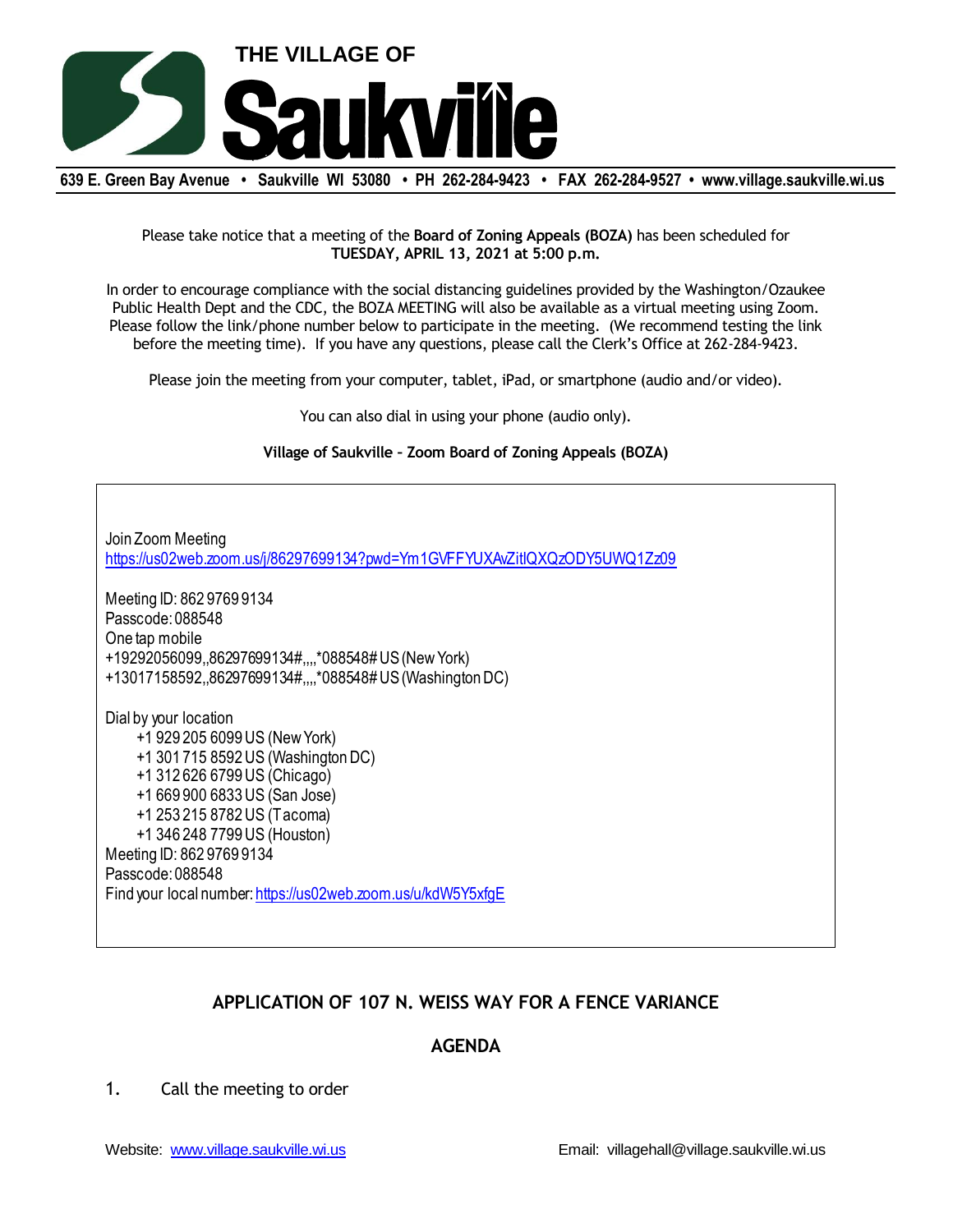

**639 E. Green Bay Avenue • Saukville WI 53080 • PH 262-284-9423 • FAX 262-284-9527 • www.village.saukville.wi.us**

## Please take notice that a meeting of the **Board of Zoning Appeals (BOZA)** has been scheduled for **TUESDAY, APRIL 13, 2021 at 5:00 p.m.**

In order to encourage compliance with the social distancing guidelines provided by the Washington/Ozaukee Public Health Dept and the CDC, the BOZA MEETING will also be available as a virtual meeting using Zoom. Please follow the link/phone number below to participate in the meeting. (We recommend testing the link before the meeting time). If you have any questions, please call the Clerk's Office at 262-284-9423.

Please join the meeting from your computer, tablet, iPad, or smartphone (audio and/or video).

You can also dial in using your phone (audio only).

## **Village of Saukville – Zoom Board of Zoning Appeals (BOZA)**

Join Zoom Meeting https://us02web.zoom.us/j/86297699134?pwd=Ym1GVFFYUXAvZitIQXQzODY5UWQ1Zz09

Meeting ID: 862 9769 9134 Passcode: 088548 One tap mobile +19292056099,,86297699134#,,,,\*088548# US (New York) +13017158592,,86297699134#,,,,\*088548# US (Washington DC)

Dial by your location +1 929 205 6099 US (New York) +1 301 715 8592 US (Washington DC) +1 312 626 6799 US (Chicago) +1 669 900 6833 US (San Jose) +1 253 215 8782 US (Tacoma) +1 346 248 7799 US (Houston) Meeting ID: 862 9769 9134 Passcode: 088548 Find your local number: https://us02web.zoom.us/u/kdW5Y5xfgE

## **APPLICATION OF 107 N. WEISS WAY FOR A FENCE VARIANCE**

## **AGENDA**

1. Call the meeting to order